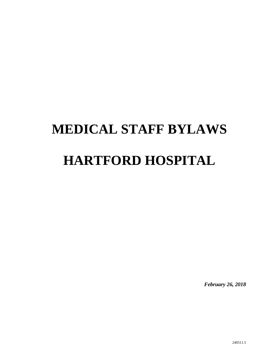# **MEDICAL STAFF BYLAWS HARTFORD HOSPITAL**

*February 26, 2018* 

240511.5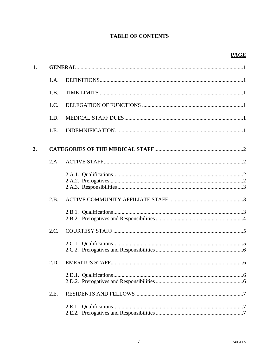# **TABLE OF CONTENTS**

| 1. |      |  |
|----|------|--|
|    | 1.A. |  |
|    | 1.B. |  |
|    | 1.C. |  |
|    | 1.D. |  |
|    | 1.E. |  |
| 2. |      |  |
|    | 2.A. |  |
|    |      |  |
|    | 2.B. |  |
|    |      |  |
|    | 2.C. |  |
|    |      |  |
|    | 2.D. |  |
|    |      |  |
|    | 2.E. |  |
|    |      |  |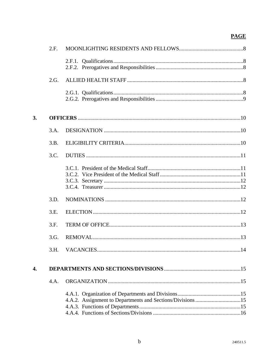|    | 2.F. |                                                            |  |
|----|------|------------------------------------------------------------|--|
|    |      |                                                            |  |
|    | 2.G. |                                                            |  |
|    |      |                                                            |  |
| 3. |      |                                                            |  |
|    | 3.A. |                                                            |  |
|    | 3.B. |                                                            |  |
|    | 3.C. |                                                            |  |
|    |      |                                                            |  |
|    | 3.D. |                                                            |  |
|    | 3.E. |                                                            |  |
|    | 3.F. |                                                            |  |
|    | 3.G. |                                                            |  |
|    | 3.H. |                                                            |  |
| 4. |      |                                                            |  |
|    | 4.A. |                                                            |  |
|    |      | 4.A.2. Assignment to Departments and Sections/Divisions 15 |  |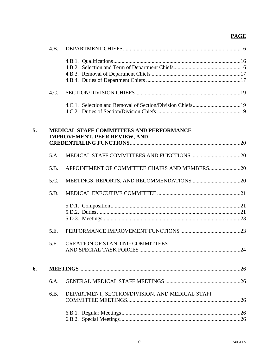|    | 4.B.                                                                                    |                                                 |     |  |  |
|----|-----------------------------------------------------------------------------------------|-------------------------------------------------|-----|--|--|
|    |                                                                                         |                                                 |     |  |  |
|    |                                                                                         |                                                 |     |  |  |
|    |                                                                                         |                                                 |     |  |  |
|    |                                                                                         |                                                 |     |  |  |
|    | 4.C.                                                                                    |                                                 |     |  |  |
|    |                                                                                         |                                                 |     |  |  |
|    |                                                                                         |                                                 |     |  |  |
| 5. | <b>MEDICAL STAFF COMMITTEES AND PERFORMANCE</b><br><b>IMPROVEMENT, PEER REVIEW, AND</b> |                                                 |     |  |  |
|    |                                                                                         |                                                 |     |  |  |
|    | 5.A.                                                                                    |                                                 |     |  |  |
|    | 5.B.                                                                                    | APPOINTMENT OF COMMITTEE CHAIRS AND MEMBERS20   |     |  |  |
|    | 5.C.                                                                                    |                                                 |     |  |  |
|    | 5.D.                                                                                    |                                                 |     |  |  |
|    |                                                                                         |                                                 |     |  |  |
|    |                                                                                         |                                                 |     |  |  |
|    |                                                                                         |                                                 |     |  |  |
|    | 5.E.                                                                                    |                                                 |     |  |  |
|    | 5.F.                                                                                    | <b>CREATION OF STANDING COMMITTEES</b>          | .24 |  |  |
| 6. |                                                                                         |                                                 |     |  |  |
|    |                                                                                         |                                                 |     |  |  |
|    | 6.A.                                                                                    |                                                 |     |  |  |
|    | 6.B.                                                                                    | DEPARTMENT, SECTION/DIVISION, AND MEDICAL STAFF |     |  |  |
|    |                                                                                         |                                                 |     |  |  |
|    |                                                                                         |                                                 |     |  |  |
|    |                                                                                         |                                                 |     |  |  |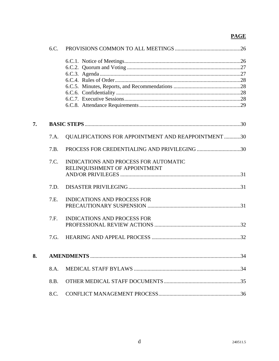|    | 6.C. |                                                                        |  |
|----|------|------------------------------------------------------------------------|--|
|    |      |                                                                        |  |
|    |      |                                                                        |  |
|    |      |                                                                        |  |
|    |      |                                                                        |  |
|    |      |                                                                        |  |
|    |      |                                                                        |  |
| 7. |      |                                                                        |  |
|    |      |                                                                        |  |
|    | 7.A. | QUALIFICATIONS FOR APPOINTMENT AND REAPPOINTMENT 30                    |  |
|    | 7.B. | PROCESS FOR CREDENTIALING AND PRIVILEGING 30                           |  |
|    | 7.C. | INDICATIONS AND PROCESS FOR AUTOMATIC<br>RELINQUISHMENT OF APPOINTMENT |  |
|    | 7.D. |                                                                        |  |
|    | 7.E. | <b>INDICATIONS AND PROCESS FOR</b>                                     |  |
|    |      |                                                                        |  |
|    | 7.F. | <b>INDICATIONS AND PROCESS FOR</b>                                     |  |
|    |      |                                                                        |  |
|    | 7.G. |                                                                        |  |
| 8. |      |                                                                        |  |
|    | 8.A. |                                                                        |  |
|    | 8.B. |                                                                        |  |
|    | 8.C. |                                                                        |  |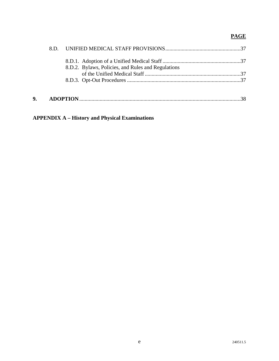|    | 8.D.2. Bylaws, Policies, and Rules and Regulations |  |
|----|----------------------------------------------------|--|
|    |                                                    |  |
| 9. |                                                    |  |
|    |                                                    |  |

**APPENDIX A – History and Physical Examinations**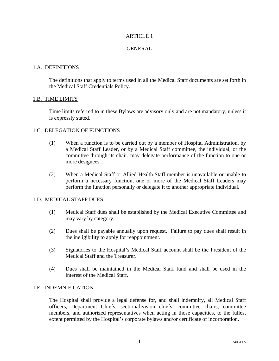# GENERAL

# 1.A. DEFINITIONS

The definitions that apply to terms used in all the Medical Staff documents are set forth in the Medical Staff Credentials Policy.

# 1.B. TIME LIMITS

Time limits referred to in these Bylaws are advisory only and are not mandatory, unless it is expressly stated.

# 1.C. DELEGATION OF FUNCTIONS

- (1) When a function is to be carried out by a member of Hospital Administration, by a Medical Staff Leader, or by a Medical Staff committee, the individual, or the committee through its chair, may delegate performance of the function to one or more designees.
- (2) When a Medical Staff or Allied Health Staff member is unavailable or unable to perform a necessary function, one or more of the Medical Staff Leaders may perform the function personally or delegate it to another appropriate individual.

# 1.D. MEDICAL STAFF DUES

- (1) Medical Staff dues shall be established by the Medical Executive Committee and may vary by category.
- (2) Dues shall be payable annually upon request. Failure to pay dues shall result in the ineligibility to apply for reappointment.
- (3) Signatories to the Hospital's Medical Staff account shall be the President of the Medical Staff and the Treasurer.
- (4) Dues shall be maintained in the Medical Staff fund and shall be used in the interest of the Medical Staff.

#### 1.E. INDEMNIFICATION

The Hospital shall provide a legal defense for, and shall indemnify, all Medical Staff officers, Department Chiefs, section/division chiefs, committee chairs, committee members, and authorized representatives when acting in those capacities, to the fullest extent permitted by the Hospital's corporate bylaws and/or certificate of incorporation.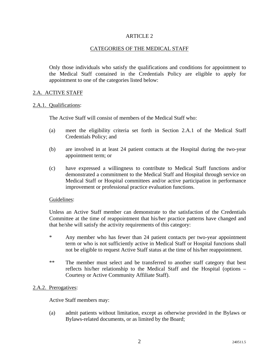# CATEGORIES OF THE MEDICAL STAFF

Only those individuals who satisfy the qualifications and conditions for appointment to the Medical Staff contained in the Credentials Policy are eligible to apply for appointment to one of the categories listed below:

#### 2.A. ACTIVE STAFF

#### 2.A.1. Qualifications:

The Active Staff will consist of members of the Medical Staff who:

- (a) meet the eligibility criteria set forth in Section 2.A.1 of the Medical Staff Credentials Policy; and
- (b) are involved in at least 24 patient contacts at the Hospital during the two-year appointment term; or
- (c) have expressed a willingness to contribute to Medical Staff functions and/or demonstrated a commitment to the Medical Staff and Hospital through service on Medical Staff or Hospital committees and/or active participation in performance improvement or professional practice evaluation functions.

#### Guidelines:

Unless an Active Staff member can demonstrate to the satisfaction of the Credentials Committee at the time of reappointment that his/her practice patterns have changed and that he/she will satisfy the activity requirements of this category:

- \* Any member who has fewer than 24 patient contacts per two-year appointment term or who is not sufficiently active in Medical Staff or Hospital functions shall not be eligible to request Active Staff status at the time of his/her reappointment.
- \*\* The member must select and be transferred to another staff category that best reflects his/her relationship to the Medical Staff and the Hospital (options – Courtesy or Active Community Affiliate Staff).

# 2.A.2. Prerogatives:

Active Staff members may:

(a) admit patients without limitation, except as otherwise provided in the Bylaws or Bylaws-related documents, or as limited by the Board;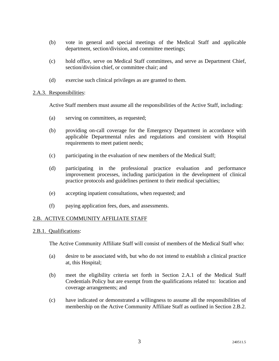- (b) vote in general and special meetings of the Medical Staff and applicable department, section/division, and committee meetings;
- (c) hold office, serve on Medical Staff committees, and serve as Department Chief, section/division chief, or committee chair; and
- (d) exercise such clinical privileges as are granted to them.

# 2.A.3. Responsibilities:

Active Staff members must assume all the responsibilities of the Active Staff, including:

- (a) serving on committees, as requested;
- (b) providing on-call coverage for the Emergency Department in accordance with applicable Departmental rules and regulations and consistent with Hospital requirements to meet patient needs;
- (c) participating in the evaluation of new members of the Medical Staff;
- (d) participating in the professional practice evaluation and performance improvement processes, including participation in the development of clinical practice protocols and guidelines pertinent to their medical specialties;
- (e) accepting inpatient consultations, when requested; and
- (f) paying application fees, dues, and assessments.

# 2.B. ACTIVE COMMUNITY AFFILIATE STAFF

# 2.B.1. Qualifications:

The Active Community Affiliate Staff will consist of members of the Medical Staff who:

- (a) desire to be associated with, but who do not intend to establish a clinical practice at, this Hospital;
- (b) meet the eligibility criteria set forth in Section 2.A.1 of the Medical Staff Credentials Policy but are exempt from the qualifications related to: location and coverage arrangements; and
- (c) have indicated or demonstrated a willingness to assume all the responsibilities of membership on the Active Community Affiliate Staff as outlined in Section 2.B.2.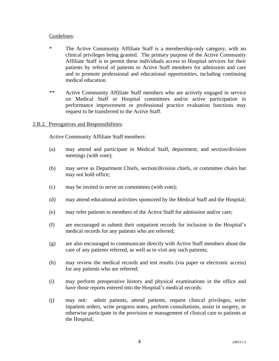# Guidelines:

- \* The Active Community Affiliate Staff is a membership-only category, with no clinical privileges being granted. The primary purpose of the Active Community Affiliate Staff is to permit these individuals access to Hospital services for their patients by referral of patients to Active Staff members for admission and care and to promote professional and educational opportunities, including continuing medical education.
- \*\* Active Community Affiliate Staff members who are actively engaged in service on Medical Staff or Hospital committees and/or active participation in performance improvement or professional practice evaluation functions may request to be transferred to the Active Staff.

# 2.B.2. Prerogatives and Responsibilities:

Active Community Affiliate Staff members:

- (a) may attend and participate in Medical Staff, department, and section/division meetings (with vote);
- (b) may serve as Department Chiefs, section/division chiefs, or committee chairs but may not hold office;
- (c) may be invited to serve on committees (with vote);
- (d) may attend educational activities sponsored by the Medical Staff and the Hospital;
- (e) may refer patients to members of the Active Staff for admission and/or care;
- (f) are encouraged to submit their outpatient records for inclusion in the Hospital's medical records for any patients who are referred;
- (g) are also encouraged to communicate directly with Active Staff members about the care of any patients referred, as well as to visit any such patients;
- (h) may review the medical records and test results (via paper or electronic access) for any patients who are referred;
- (i) may perform preoperative history and physical examinations in the office and have those reports entered into the Hospital's medical records;
- (j) may not: admit patients, attend patients, request clinical privileges, write inpatient orders, write progress notes, perform consultations, assist in surgery, or otherwise participate in the provision or management of clinical care to patients at the Hospital;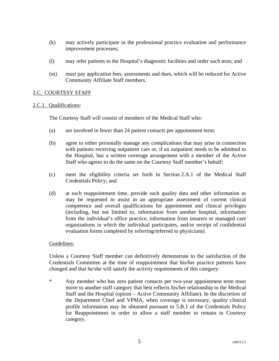- (k) may actively participate in the professional practice evaluation and performance improvement processes;
- (l) may refer patients to the Hospital's diagnostic facilities and order such tests; and
- (m) must pay application fees, assessments and dues, which will be reduced for Active Community Affiliate Staff members.

# 2.C. COURTESY STAFF

# 2.C.1. Qualifications:

The Courtesy Staff will consist of members of the Medical Staff who:

- (a) are involved in fewer than 24 patient contacts per appointment term;
- (b) agree to either personally manage any complications that may arise in connection with patients receiving outpatient care or, if an outpatient needs to be admitted to the Hospital, has a written coverage arrangement with a member of the Active Staff who agrees to do the same on the Courtesy Staff member's behalf;
- (c) meet the eligibility criteria set forth in Section 2.A.1 of the Medical Staff Credentials Policy; and
- (d) at each reappointment time, provide such quality data and other information as may be requested to assist in an appropriate assessment of current clinical competence and overall qualifications for appointment and clinical privileges (including, but not limited to, information from another hospital, information from the individual's office practice, information from insurers or managed care organizations in which the individual participates, and/or receipt of confidential evaluation forms completed by referring/referred to physicians).

# Guidelines:

Unless a Courtesy Staff member can definitively demonstrate to the satisfaction of the Credentials Committee at the time of reappointment that his/her practice patterns have changed and that he/she will satisfy the activity requirements of this category:

\* Any member who has zero patient contacts per two-year appointment term must move to another staff category that best reflects his/her relationship to the Medical Staff and the Hospital (option – Active Community Affiliate). In the discretion of the Department Chief and VPMA, when coverage is necessary, quality clinical profile information may be obtained pursuant to 5.B.1 of the Credentials Policy for Reappointment in order to allow a staff member to remain in Courtesy category.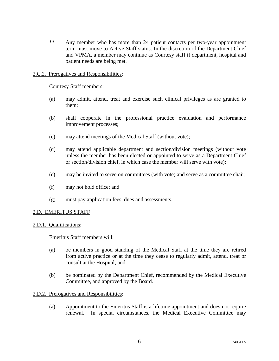\*\* Any member who has more than 24 patient contacts per two-year appointment term must move to Active Staff status. In the discretion of the Department Chief and VPMA, a member may continue as Courtesy staff if department, hospital and patient needs are being met.

# 2.C.2. Prerogatives and Responsibilities:

Courtesy Staff members:

- (a) may admit, attend, treat and exercise such clinical privileges as are granted to them;
- (b) shall cooperate in the professional practice evaluation and performance improvement processes;
- (c) may attend meetings of the Medical Staff (without vote);
- (d) may attend applicable department and section/division meetings (without vote unless the member has been elected or appointed to serve as a Department Chief or section/division chief, in which case the member will serve with vote);
- (e) may be invited to serve on committees (with vote) and serve as a committee chair;
- (f) may not hold office; and
- (g) must pay application fees, dues and assessments.

# 2.D. EMERITUS STAFF

# 2.D.1. Qualifications:

Emeritus Staff members will:

- (a) be members in good standing of the Medical Staff at the time they are retired from active practice or at the time they cease to regularly admit, attend, treat or consult at the Hospital; and
- (b) be nominated by the Department Chief, recommended by the Medical Executive Committee, and approved by the Board.

#### 2.D.2. Prerogatives and Responsibilities:

(a) Appointment to the Emeritus Staff is a lifetime appointment and does not require renewal. In special circumstances, the Medical Executive Committee may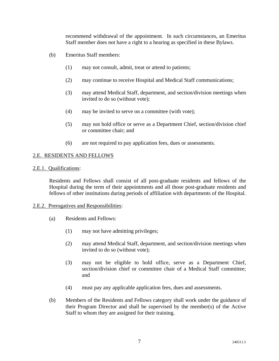recommend withdrawal of the appointment. In such circumstances, an Emeritus Staff member does not have a right to a hearing as specified in these Bylaws.

- (b) Emeritus Staff members:
	- (1) may not consult, admit, treat or attend to patients;
	- (2) may continue to receive Hospital and Medical Staff communications;
	- (3) may attend Medical Staff, department, and section/division meetings when invited to do so (without vote);
	- (4) may be invited to serve on a committee (with vote);
	- (5) may not hold office or serve as a Department Chief, section/division chief or committee chair; and
	- (6) are not required to pay application fees, dues or assessments.

# 2.E. RESIDENTS AND FELLOWS

#### 2.E.1. Qualifications:

Residents and Fellows shall consist of all post-graduate residents and fellows of the Hospital during the term of their appointments and all those post-graduate residents and fellows of other institutions during periods of affiliation with departments of the Hospital.

#### 2.E.2. Prerogatives and Responsibilities:

- (a) Residents and Fellows:
	- (1) may not have admitting privileges;
	- (2) may attend Medical Staff, department, and section/division meetings when invited to do so (without vote);
	- (3) may not be eligible to hold office, serve as a Department Chief, section/division chief or committee chair of a Medical Staff committee; and
	- (4) must pay any applicable application fees, dues and assessments.
- (b) Members of the Residents and Fellows category shall work under the guidance of their Program Director and shall be supervised by the member(s) of the Active Staff to whom they are assigned for their training.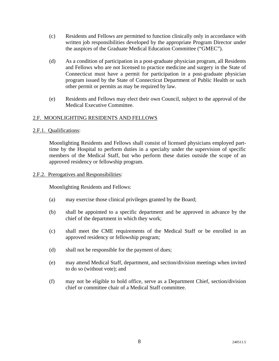- (c) Residents and Fellows are permitted to function clinically only in accordance with written job responsibilities developed by the appropriate Program Director under the auspices of the Graduate Medical Education Committee ("GMEC").
- (d) As a condition of participation in a post-graduate physician program, all Residents and Fellows who are not licensed to practice medicine and surgery in the State of Connecticut must have a permit for participation in a post-graduate physician program issued by the State of Connecticut Department of Public Health or such other permit or permits as may be required by law.
- (e) Residents and Fellows may elect their own Council, subject to the approval of the Medical Executive Committee.

# 2.F. MOONLIGHTING RESIDENTS AND FELLOWS

# 2.F.1. Qualifications:

Moonlighting Residents and Fellows shall consist of licensed physicians employed parttime by the Hospital to perform duties in a specialty under the supervision of specific members of the Medical Staff, but who perform these duties outside the scope of an approved residency or fellowship program.

# 2.F.2. Prerogatives and Responsibilities:

Moonlighting Residents and Fellows:

- (a) may exercise those clinical privileges granted by the Board;
- (b) shall be appointed to a specific department and be approved in advance by the chief of the department in which they work;
- (c) shall meet the CME requirements of the Medical Staff or be enrolled in an approved residency or fellowship program;
- (d) shall not be responsible for the payment of dues;
- (e) may attend Medical Staff, department, and section/division meetings when invited to do so (without vote); and
- (f) may not be eligible to hold office, serve as a Department Chief, section/division chief or committee chair of a Medical Staff committee.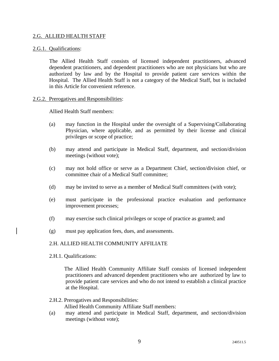# 2.G. ALLIED HEALTH STAFF

#### 2.G.1. Qualifications:

The Allied Health Staff consists of licensed independent practitioners, advanced dependent practitioners, and dependent practitioners who are not physicians but who are authorized by law and by the Hospital to provide patient care services within the Hospital. The Allied Health Staff is not a category of the Medical Staff, but is included in this Article for convenient reference.

#### 2.G.2. Prerogatives and Responsibilities:

Allied Health Staff members:

- (a) may function in the Hospital under the oversight of a Supervising/Collaborating Physician, where applicable, and as permitted by their license and clinical privileges or scope of practice;
- (b) may attend and participate in Medical Staff, department, and section/division meetings (without vote);
- (c) may not hold office or serve as a Department Chief, section/division chief, or committee chair of a Medical Staff committee;
- (d) may be invited to serve as a member of Medical Staff committees (with vote);
- (e) must participate in the professional practice evaluation and performance improvement processes;
- (f) may exercise such clinical privileges or scope of practice as granted; and
- (g) must pay application fees, dues, and assessments.

# 2.H. ALLIED HEALTH COMMUNITY AFFILIATE

2.H.1. Qualifications:

 The Allied Health Community Affiliate Staff consists of licensed independent practitioners and advanced dependent practitioners who are authorized by law to provide patient care services and who do not intend to establish a clinical practice at the Hospital.

2.H.2. Prerogatives and Responsibilities:

Allied Health Community Affiliate Staff members:

(a) may attend and participate in Medical Staff, department, and section/division meetings (without vote);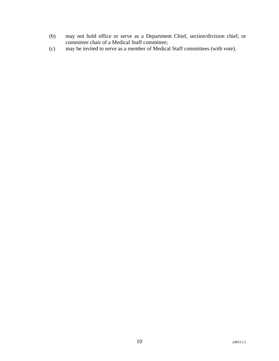- (b) may not hold office or serve as a Department Chief, section/division chief, or committee chair of a Medical Staff committee;
- (c) may be invited to serve as a member of Medical Staff committees (with vote).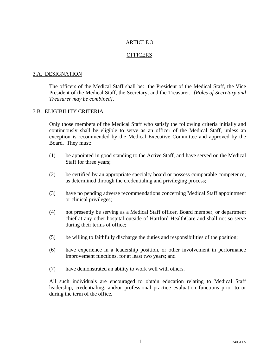# **OFFICERS**

#### 3.A. DESIGNATION

The officers of the Medical Staff shall be: the President of the Medical Staff, the Vice President of the Medical Staff, the Secretary, and the Treasurer. *[Roles of Secretary and Treasurer may be combined].*

#### 3.B. ELIGIBILITY CRITERIA

Only those members of the Medical Staff who satisfy the following criteria initially and continuously shall be eligible to serve as an officer of the Medical Staff, unless an exception is recommended by the Medical Executive Committee and approved by the Board. They must:

- (1) be appointed in good standing to the Active Staff, and have served on the Medical Staff for three years;
- (2) be certified by an appropriate specialty board or possess comparable competence, as determined through the credentialing and privileging process;
- (3) have no pending adverse recommendations concerning Medical Staff appointment or clinical privileges;
- (4) not presently be serving as a Medical Staff officer, Board member, or department chief at any other hospital outside of Hartford HealthCare and shall not so serve during their terms of office;
- (5) be willing to faithfully discharge the duties and responsibilities of the position;
- (6) have experience in a leadership position, or other involvement in performance improvement functions, for at least two years; and
- (7) have demonstrated an ability to work well with others.

All such individuals are encouraged to obtain education relating to Medical Staff leadership, credentialing, and/or professional practice evaluation functions prior to or during the term of the office.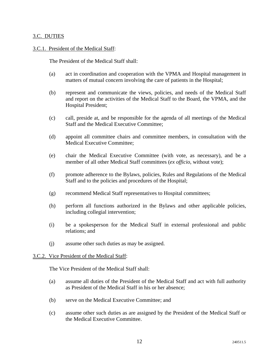# 3.C. DUTIES

# 3.C.1. President of the Medical Staff:

The President of the Medical Staff shall:

- (a) act in coordination and cooperation with the VPMA and Hospital management in matters of mutual concern involving the care of patients in the Hospital;
- (b) represent and communicate the views, policies, and needs of the Medical Staff and report on the activities of the Medical Staff to the Board, the VPMA, and the Hospital President;
- (c) call, preside at, and be responsible for the agenda of all meetings of the Medical Staff and the Medical Executive Committee;
- (d) appoint all committee chairs and committee members, in consultation with the Medical Executive Committee;
- (e) chair the Medical Executive Committee (with vote, as necessary), and be a member of all other Medical Staff committees (*ex officio*, without vote);
- (f) promote adherence to the Bylaws, policies, Rules and Regulations of the Medical Staff and to the policies and procedures of the Hospital;
- (g) recommend Medical Staff representatives to Hospital committees;
- (h) perform all functions authorized in the Bylaws and other applicable policies, including collegial intervention;
- (i) be a spokesperson for the Medical Staff in external professional and public relations; and
- (j) assume other such duties as may be assigned.

#### 3.C.2. Vice President of the Medical Staff:

The Vice President of the Medical Staff shall:

- (a) assume all duties of the President of the Medical Staff and act with full authority as President of the Medical Staff in his or her absence;
- (b) serve on the Medical Executive Committee; and
- (c) assume other such duties as are assigned by the President of the Medical Staff or the Medical Executive Committee.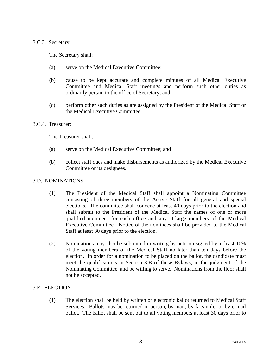#### 3.C.3. Secretary:

The Secretary shall:

- (a) serve on the Medical Executive Committee;
- (b) cause to be kept accurate and complete minutes of all Medical Executive Committee and Medical Staff meetings and perform such other duties as ordinarily pertain to the office of Secretary; and
- (c) perform other such duties as are assigned by the President of the Medical Staff or the Medical Executive Committee.

#### 3.C.4. Treasurer:

The Treasurer shall:

- (a) serve on the Medical Executive Committee; and
- (b) collect staff dues and make disbursements as authorized by the Medical Executive Committee or its designees.

#### 3.D. NOMINATIONS

- (1) The President of the Medical Staff shall appoint a Nominating Committee consisting of three members of the Active Staff for all general and special elections. The committee shall convene at least 40 days prior to the election and shall submit to the President of the Medical Staff the names of one or more qualified nominees for each office and any at-large members of the Medical Executive Committee. Notice of the nominees shall be provided to the Medical Staff at least 30 days prior to the election.
- (2) Nominations may also be submitted in writing by petition signed by at least 10% of the voting members of the Medical Staff no later than ten days before the election. In order for a nomination to be placed on the ballot, the candidate must meet the qualifications in Section 3.B of these Bylaws, in the judgment of the Nominating Committee, and be willing to serve. Nominations from the floor shall not be accepted.

# 3.E. ELECTION

(1) The election shall be held by written or electronic ballot returned to Medical Staff Services. Ballots may be returned in person, by mail, by facsimile, or by e-mail ballot. The ballot shall be sent out to all voting members at least 30 days prior to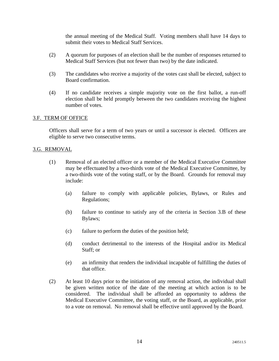the annual meeting of the Medical Staff. Voting members shall have 14 days to submit their votes to Medical Staff Services.

- (2) A quorum for purposes of an election shall be the number of responses returned to Medical Staff Services (but not fewer than two) by the date indicated.
- (3) The candidates who receive a majority of the votes cast shall be elected, subject to Board confirmation.
- (4) If no candidate receives a simple majority vote on the first ballot, a run-off election shall be held promptly between the two candidates receiving the highest number of votes.

# 3.F. TERM OF OFFICE

Officers shall serve for a term of two years or until a successor is elected. Officers are eligible to serve two consecutive terms.

#### 3.G. REMOVAL

- (1) Removal of an elected officer or a member of the Medical Executive Committee may be effectuated by a two-thirds vote of the Medical Executive Committee, by a two-thirds vote of the voting staff, or by the Board. Grounds for removal may include:
	- (a) failure to comply with applicable policies, Bylaws, or Rules and Regulations;
	- (b) failure to continue to satisfy any of the criteria in Section 3.B of these Bylaws;
	- (c) failure to perform the duties of the position held;
	- (d) conduct detrimental to the interests of the Hospital and/or its Medical Staff; or
	- (e) an infirmity that renders the individual incapable of fulfilling the duties of that office.
- (2) At least 10 days prior to the initiation of any removal action, the individual shall be given written notice of the date of the meeting at which action is to be considered. The individual shall be afforded an opportunity to address the Medical Executive Committee, the voting staff, or the Board, as applicable, prior to a vote on removal. No removal shall be effective until approved by the Board.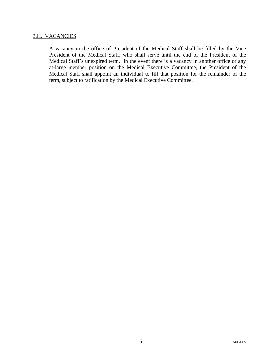# 3.H. VACANCIES

A vacancy in the office of President of the Medical Staff shall be filled by the Vice President of the Medical Staff, who shall serve until the end of the President of the Medical Staff's unexpired term. In the event there is a vacancy in another office or any at-large member position on the Medical Executive Committee, the President of the Medical Staff shall appoint an individual to fill that position for the remainder of the term, subject to ratification by the Medical Executive Committee.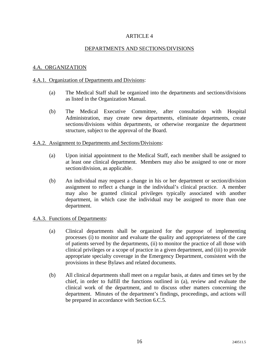# DEPARTMENTS AND SECTIONS/DIVISIONS

# 4.A. ORGANIZATION

#### 4.A.1. Organization of Departments and Divisions:

- (a) The Medical Staff shall be organized into the departments and sections/divisions as listed in the Organization Manual.
- (b) The Medical Executive Committee, after consultation with Hospital Administration, may create new departments, eliminate departments, create sections/divisions within departments, or otherwise reorganize the department structure, subject to the approval of the Board.

#### 4.A.2. Assignment to Departments and Sections/Divisions:

- (a) Upon initial appointment to the Medical Staff, each member shall be assigned to at least one clinical department. Members may also be assigned to one or more section/division, as applicable.
- (b) An individual may request a change in his or her department or section/division assignment to reflect a change in the individual's clinical practice. A member may also be granted clinical privileges typically associated with another department, in which case the individual may be assigned to more than one department.

#### 4.A.3. Functions of Departments:

- (a) Clinical departments shall be organized for the purpose of implementing processes (i) to monitor and evaluate the quality and appropriateness of the care of patients served by the departments, (ii) to monitor the practice of all those with clinical privileges or a scope of practice in a given department, and (iii) to provide appropriate specialty coverage in the Emergency Department, consistent with the provisions in these Bylaws and related documents.
- (b) All clinical departments shall meet on a regular basis, at dates and times set by the chief, in order to fulfill the functions outlined in (a), review and evaluate the clinical work of the department, and to discuss other matters concerning the department. Minutes of the department's findings, proceedings, and actions will be prepared in accordance with Section 6.C.5.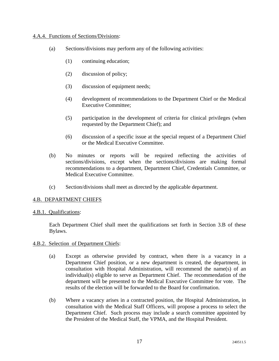# 4.A.4. Functions of Sections/Divisions:

- (a) Sections/divisions may perform any of the following activities:
	- (1) continuing education;
	- (2) discussion of policy;
	- (3) discussion of equipment needs;
	- (4) development of recommendations to the Department Chief or the Medical Executive Committee;
	- (5) participation in the development of criteria for clinical privileges (when requested by the Department Chief); and
	- (6) discussion of a specific issue at the special request of a Department Chief or the Medical Executive Committee.
- (b) No minutes or reports will be required reflecting the activities of sections/divisions, except when the sections/divisions are making formal recommendations to a department, Department Chief, Credentials Committee, or Medical Executive Committee.
- (c) Section/divisions shall meet as directed by the applicable department.

# 4.B. DEPARTMENT CHIEFS

# 4.B.1. Qualifications:

Each Department Chief shall meet the qualifications set forth in Section 3.B of these Bylaws.

# 4.B.2. Selection of Department Chiefs:

- (a) Except as otherwise provided by contract, when there is a vacancy in a Department Chief position, or a new department is created, the department, in consultation with Hospital Administration, will recommend the name(s) of an individual(s) eligible to serve as Department Chief. The recommendation of the department will be presented to the Medical Executive Committee for vote. The results of the election will be forwarded to the Board for confirmation.
- (b) Where a vacancy arises in a contracted position, the Hospital Administration, in consultation with the Medical Staff Officers, will propose a process to select the Department Chief. Such process may include a search committee appointed by the President of the Medical Staff, the VPMA, and the Hospital President.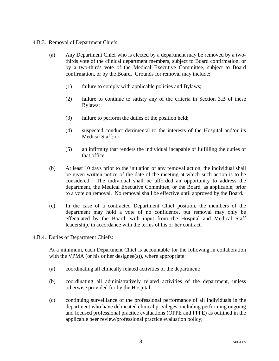# 4.B.3. Removal of Department Chiefs:

- (a) Any Department Chief who is elected by a department may be removed by a twothirds vote of the clinical department members, subject to Board confirmation, or by a two-thirds vote of the Medical Executive Committee, subject to Board confirmation, or by the Board. Grounds for removal may include:
	- (1) failure to comply with applicable policies and Bylaws;
	- (2) failure to continue to satisfy any of the criteria in Section 3.B of these Bylaws;
	- (3) failure to perform the duties of the position held;
	- (4) suspected conduct detrimental to the interests of the Hospital and/or its Medical Staff; or
	- (5) an infirmity that renders the individual incapable of fulfilling the duties of that office.
- (b) At least 10 days prior to the initiation of any removal action, the individual shall be given written notice of the date of the meeting at which such action is to be considered. The individual shall be afforded an opportunity to address the department, the Medical Executive Committee, or the Board, as applicable, prior to a vote on removal. No removal shall be effective until approved by the Board.
- (c) In the case of a contracted Department Chief position, the members of the department may hold a vote of no confidence, but removal may only be effectuated by the Board, with input from the Hospital and Medical Staff leadership, in accordance with the terms of his or her contract.

# 4.B.4. Duties of Department Chiefs:

At a minimum, each Department Chief is accountable for the following in collaboration with the VPMA (or his or her designee $(s)$ ), where appropriate:

- (a) coordinating all clinically related activities of the department;
- (b) coordinating all administratively related activities of the department, unless otherwise provided for by the Hospital;
- (c) continuing surveillance of the professional performance of all individuals in the department who have delineated clinical privileges, including performing ongoing and focused professional practice evaluations (OPPE and FPPE) as outlined in the applicable peer review/professional practice evaluation policy;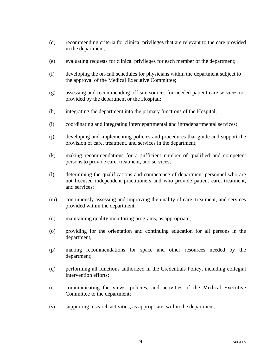- (d) recommending criteria for clinical privileges that are relevant to the care provided in the department;
- (e) evaluating requests for clinical privileges for each member of the department;
- (f) developing the on-call schedules for physicians within the department subject to the approval of the Medical Executive Committee;
- (g) assessing and recommending off-site sources for needed patient care services not provided by the department or the Hospital;
- (h) integrating the department into the primary functions of the Hospital;
- (i) coordinating and integrating interdepartmental and intradepartmental services;
- (j) developing and implementing policies and procedures that guide and support the provision of care, treatment, and services in the department;
- (k) making recommendations for a sufficient number of qualified and competent persons to provide care, treatment, and services;
- (l) determining the qualifications and competence of department personnel who are not licensed independent practitioners and who provide patient care, treatment, and services;
- (m) continuously assessing and improving the quality of care, treatment, and services provided within the department;
- (n) maintaining quality monitoring programs, as appropriate;
- (o) providing for the orientation and continuing education for all persons in the department;
- (p) making recommendations for space and other resources needed by the department;
- (q) performing all functions authorized in the Credentials Policy, including collegial intervention efforts;
- (r) communicating the views, policies, and activities of the Medical Executive Committee to the department;
- (s) supporting research activities, as appropriate, within the department;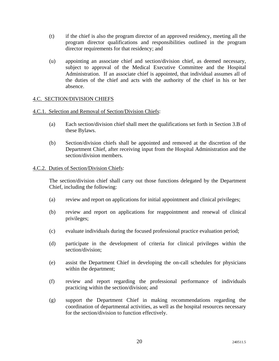- (t) if the chief is also the program director of an approved residency, meeting all the program director qualifications and responsibilities outlined in the program director requirements for that residency; and
- (u) appointing an associate chief and section/division chief, as deemed necessary, subject to approval of the Medical Executive Committee and the Hospital Administration. If an associate chief is appointed, that individual assumes all of the duties of the chief and acts with the authority of the chief in his or her absence.

# 4.C. SECTION/DIVISION CHIEFS

# 4.C.1. Selection and Removal of Section/Division Chiefs:

- (a) Each section/division chief shall meet the qualifications set forth in Section 3.B of these Bylaws.
- (b) Section/division chiefs shall be appointed and removed at the discretion of the Department Chief, after receiving input from the Hospital Administration and the section/division members.

# 4.C.2. Duties of Section/Division Chiefs:

The section/division chief shall carry out those functions delegated by the Department Chief, including the following:

- (a) review and report on applications for initial appointment and clinical privileges;
- (b) review and report on applications for reappointment and renewal of clinical privileges;
- (c) evaluate individuals during the focused professional practice evaluation period;
- (d) participate in the development of criteria for clinical privileges within the section/division;
- (e) assist the Department Chief in developing the on-call schedules for physicians within the department;
- (f) review and report regarding the professional performance of individuals practicing within the section/division; and
- (g) support the Department Chief in making recommendations regarding the coordination of departmental activities, as well as the hospital resources necessary for the section/division to function effectively.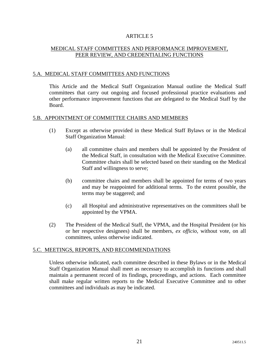# MEDICAL STAFF COMMITTEES AND PERFORMANCE IMPROVEMENT, PEER REVIEW, AND CREDENTIALING FUNCTIONS

# 5.A. MEDICAL STAFF COMMITTEES AND FUNCTIONS

This Article and the Medical Staff Organization Manual outline the Medical Staff committees that carry out ongoing and focused professional practice evaluations and other performance improvement functions that are delegated to the Medical Staff by the Board.

# 5.B. APPOINTMENT OF COMMITTEE CHAIRS AND MEMBERS

- (1) Except as otherwise provided in these Medical Staff Bylaws or in the Medical Staff Organization Manual:
	- (a) all committee chairs and members shall be appointed by the President of the Medical Staff, in consultation with the Medical Executive Committee. Committee chairs shall be selected based on their standing on the Medical Staff and willingness to serve;
	- (b) committee chairs and members shall be appointed for terms of two years and may be reappointed for additional terms. To the extent possible, the terms may be staggered; and
	- (c) all Hospital and administrative representatives on the committees shall be appointed by the VPMA.
- (2) The President of the Medical Staff, the VPMA, and the Hospital President (or his or her respective designees) shall be members, *ex officio*, without vote, on all committees, unless otherwise indicated.

# 5.C. MEETINGS, REPORTS, AND RECOMMENDATIONS

Unless otherwise indicated, each committee described in these Bylaws or in the Medical Staff Organization Manual shall meet as necessary to accomplish its functions and shall maintain a permanent record of its findings, proceedings, and actions. Each committee shall make regular written reports to the Medical Executive Committee and to other committees and individuals as may be indicated.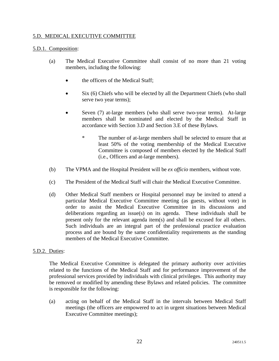# 5.D. MEDICAL EXECUTIVE COMMITTEE

# 5.D.1. Composition:

- (a) The Medical Executive Committee shall consist of no more than 21 voting members, including the following:
	- the officers of the Medical Staff;
	- Six (6) Chiefs who will be elected by all the Department Chiefs (who shall serve two year terms);
	- Seven (7) at-large members (who shall serve two-year terms). At-large members shall be nominated and elected by the Medical Staff in accordance with Section 3.D and Section 3.E of these Bylaws.
		- \* The number of at-large members shall be selected to ensure that at least 50% of the voting membership of the Medical Executive Committee is composed of members elected by the Medical Staff (i.e., Officers and at-large members).
- (b) The VPMA and the Hospital President will be *ex officio* members, without vote.
- (c) The President of the Medical Staff will chair the Medical Executive Committee.
- (d) Other Medical Staff members or Hospital personnel may be invited to attend a particular Medical Executive Committee meeting (as guests, without vote) in order to assist the Medical Executive Committee in its discussions and deliberations regarding an issue(s) on its agenda. These individuals shall be present only for the relevant agenda item(s) and shall be excused for all others. Such individuals are an integral part of the professional practice evaluation process and are bound by the same confidentiality requirements as the standing members of the Medical Executive Committee.

# 5.D.2. Duties:

The Medical Executive Committee is delegated the primary authority over activities related to the functions of the Medical Staff and for performance improvement of the professional services provided by individuals with clinical privileges. This authority may be removed or modified by amending these Bylaws and related policies. The committee is responsible for the following:

(a) acting on behalf of the Medical Staff in the intervals between Medical Staff meetings (the officers are empowered to act in urgent situations between Medical Executive Committee meetings);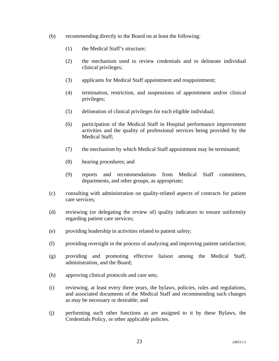- (b) recommending directly to the Board on at least the following:
	- (1) the Medical Staff's structure;
	- (2) the mechanism used to review credentials and to delineate individual clinical privileges;
	- (3) applicants for Medical Staff appointment and reappointment;
	- (4) termination, restriction, and suspensions of appointment and/or clinical privileges;
	- (5) delineation of clinical privileges for each eligible individual;
	- (6) participation of the Medical Staff in Hospital performance improvement activities and the quality of professional services being provided by the Medical Staff;
	- (7) the mechanism by which Medical Staff appointment may be terminated;
	- (8) hearing procedures; and
	- (9) reports and recommendations from Medical Staff committees, departments, and other groups, as appropriate;
- (c) consulting with administration on quality-related aspects of contracts for patient care services;
- (d) reviewing (or delegating the review of) quality indicators to ensure uniformity regarding patient care services;
- (e) providing leadership in activities related to patient safety;
- (f) providing oversight in the process of analyzing and improving patient satisfaction;
- (g) providing and promoting effective liaison among the Medical Staff, administration, and the Board;
- (h) approving clinical protocols and care sets;
- (i) reviewing, at least every three years, the bylaws, policies, rules and regulations, and associated documents of the Medical Staff and recommending such changes as may be necessary or desirable; and
- (j) performing such other functions as are assigned to it by these Bylaws, the Credentials Policy, or other applicable policies.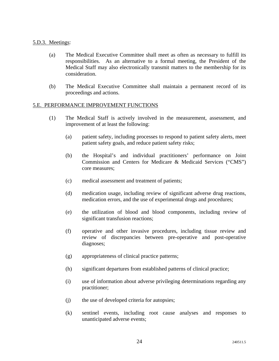#### 5.D.3. Meetings:

- (a) The Medical Executive Committee shall meet as often as necessary to fulfill its responsibilities. As an alternative to a formal meeting, the President of the Medical Staff may also electronically transmit matters to the membership for its consideration.
- (b) The Medical Executive Committee shall maintain a permanent record of its proceedings and actions.

#### 5.E. PERFORMANCE IMPROVEMENT FUNCTIONS

- (1) The Medical Staff is actively involved in the measurement, assessment, and improvement of at least the following:
	- (a) patient safety, including processes to respond to patient safety alerts, meet patient safety goals, and reduce patient safety risks;
	- (b) the Hospital's and individual practitioners' performance on Joint Commission and Centers for Medicare & Medicaid Services ("CMS") core measures;
	- (c) medical assessment and treatment of patients;
	- (d) medication usage, including review of significant adverse drug reactions, medication errors, and the use of experimental drugs and procedures;
	- (e) the utilization of blood and blood components, including review of significant transfusion reactions;
	- (f) operative and other invasive procedures, including tissue review and review of discrepancies between pre-operative and post-operative diagnoses;
	- (g) appropriateness of clinical practice patterns;
	- (h) significant departures from established patterns of clinical practice;
	- (i) use of information about adverse privileging determinations regarding any practitioner;
	- (j) the use of developed criteria for autopsies;
	- (k) sentinel events, including root cause analyses and responses to unanticipated adverse events;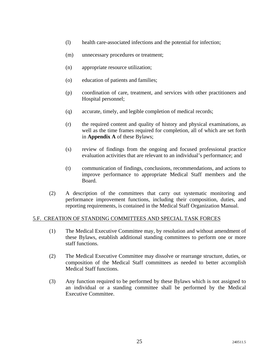- (l) health care-associated infections and the potential for infection;
- (m) unnecessary procedures or treatment;
- (n) appropriate resource utilization;
- (o) education of patients and families;
- (p) coordination of care, treatment, and services with other practitioners and Hospital personnel;
- (q) accurate, timely, and legible completion of medical records;
- (r) the required content and quality of history and physical examinations, as well as the time frames required for completion, all of which are set forth in **Appendix A** of these Bylaws;
- (s) review of findings from the ongoing and focused professional practice evaluation activities that are relevant to an individual's performance; and
- (t) communication of findings, conclusions, recommendations, and actions to improve performance to appropriate Medical Staff members and the Board.
- (2) A description of the committees that carry out systematic monitoring and performance improvement functions, including their composition, duties, and reporting requirements, is contained in the Medical Staff Organization Manual.

# 5.F. CREATION OF STANDING COMMITTEES AND SPECIAL TASK FORCES

- (1) The Medical Executive Committee may, by resolution and without amendment of these Bylaws, establish additional standing committees to perform one or more staff functions.
- (2) The Medical Executive Committee may dissolve or rearrange structure, duties, or composition of the Medical Staff committees as needed to better accomplish Medical Staff functions.
- (3) Any function required to be performed by these Bylaws which is not assigned to an individual or a standing committee shall be performed by the Medical Executive Committee.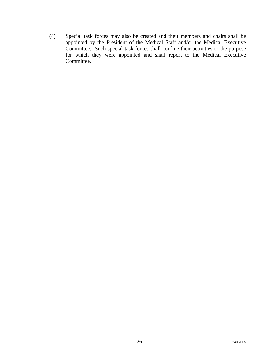(4) Special task forces may also be created and their members and chairs shall be appointed by the President of the Medical Staff and/or the Medical Executive Committee. Such special task forces shall confine their activities to the purpose for which they were appointed and shall report to the Medical Executive Committee.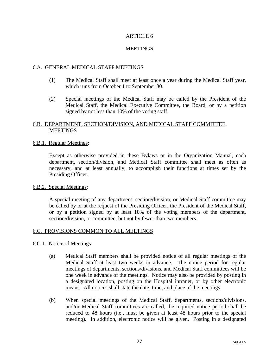# MEETINGS

# 6.A. GENERAL MEDICAL STAFF MEETINGS

- (1) The Medical Staff shall meet at least once a year during the Medical Staff year, which runs from October 1 to September 30.
- (2) Special meetings of the Medical Staff may be called by the President of the Medical Staff, the Medical Executive Committee, the Board, or by a petition signed by not less than 10% of the voting staff.

# 6.B. DEPARTMENT, SECTION/DIVISION, AND MEDICAL STAFF COMMITTEE MEETINGS

#### 6.B.1. Regular Meetings:

Except as otherwise provided in these Bylaws or in the Organization Manual, each department, section/division, and Medical Staff committee shall meet as often as necessary, and at least annually, to accomplish their functions at times set by the Presiding Officer.

#### 6.B.2. Special Meetings:

A special meeting of any department, section/division, or Medical Staff committee may be called by or at the request of the Presiding Officer, the President of the Medical Staff, or by a petition signed by at least 10% of the voting members of the department, section/division, or committee, but not by fewer than two members.

# 6.C. PROVISIONS COMMON TO ALL MEETINGS

#### 6.C.1. Notice of Meetings:

- (a) Medical Staff members shall be provided notice of all regular meetings of the Medical Staff at least two weeks in advance. The notice period for regular meetings of departments, sections/divisions, and Medical Staff committees will be one week in advance of the meetings. Notice may also be provided by posting in a designated location, posting on the Hospital intranet, or by other electronic means. All notices shall state the date, time, and place of the meetings.
- (b) When special meetings of the Medical Staff, departments, sections/divisions, and/or Medical Staff committees are called, the required notice period shall be reduced to 48 hours (i.e., must be given at least 48 hours prior to the special meeting). In addition, electronic notice will be given. Posting in a designated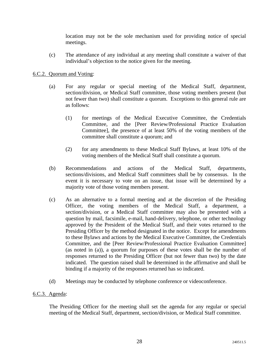location may not be the sole mechanism used for providing notice of special meetings.

(c) The attendance of any individual at any meeting shall constitute a waiver of that individual's objection to the notice given for the meeting.

# 6.C.2. Quorum and Voting:

- (a) For any regular or special meeting of the Medical Staff, department, section/division, or Medical Staff committee, those voting members present (but not fewer than two) shall constitute a quorum. Exceptions to this general rule are as follows:
	- (1) for meetings of the Medical Executive Committee, the Credentials Committee, and the [Peer Review/Professional Practice Evaluation Committee], the presence of at least 50% of the voting members of the committee shall constitute a quorum; and
	- (2) for any amendments to these Medical Staff Bylaws, at least 10% of the voting members of the Medical Staff shall constitute a quorum.
- (b) Recommendations and actions of the Medical Staff, departments, sections/divisions, and Medical Staff committees shall be by consensus. In the event it is necessary to vote on an issue, that issue will be determined by a majority vote of those voting members present.
- (c) As an alternative to a formal meeting and at the discretion of the Presiding Officer, the voting members of the Medical Staff, a department, a section/division, or a Medical Staff committee may also be presented with a question by mail, facsimile, e-mail, hand-delivery, telephone, or other technology approved by the President of the Medical Staff, and their votes returned to the Presiding Officer by the method designated in the notice. Except for amendments to these Bylaws and actions by the Medical Executive Committee, the Credentials Committee, and the [Peer Review/Professional Practice Evaluation Committee] (as noted in (a)), a quorum for purposes of these votes shall be the number of responses returned to the Presiding Officer (but not fewer than two) by the date indicated. The question raised shall be determined in the affirmative and shall be binding if a majority of the responses returned has so indicated.
- (d) Meetings may be conducted by telephone conference or videoconference.

# 6.C.3. Agenda:

The Presiding Officer for the meeting shall set the agenda for any regular or special meeting of the Medical Staff, department, section/division, or Medical Staff committee.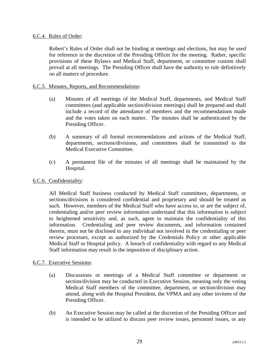# 6.C.4. Rules of Order:

Robert's Rules of Order shall not be binding at meetings and elections, but may be used for reference in the discretion of the Presiding Officer for the meeting. Rather, specific provisions of these Bylaws and Medical Staff, department, or committee custom shall prevail at all meetings. The Presiding Officer shall have the authority to rule definitively on all matters of procedure.

# 6.C.5. Minutes, Reports, and Recommendations:

- (a) Minutes of all meetings of the Medical Staff, departments, and Medical Staff committees (and applicable section/division meetings) shall be prepared and shall include a record of the attendance of members and the recommendations made and the votes taken on each matter. The minutes shall be authenticated by the Presiding Officer.
- (b) A summary of all formal recommendations and actions of the Medical Staff, departments, sections/divisions, and committees shall be transmitted to the Medical Executive Committee.
- (c) A permanent file of the minutes of all meetings shall be maintained by the Hospital.

# 6.C.6. Confidentiality:

All Medical Staff business conducted by Medical Staff committees, departments, or sections/divisions is considered confidential and proprietary and should be treated as such. However, members of the Medical Staff who have access to, or are the subject of, credentialing and/or peer review information understand that this information is subject to heightened sensitivity and, as such, agree to maintain the confidentiality of this information. Credentialing and peer review documents, and information contained therein, must not be disclosed to any individual not involved in the credentialing or peer review processes, except as authorized by the Credentials Policy or other applicable Medical Staff or Hospital policy. A breach of confidentiality with regard to any Medical Staff information may result in the imposition of disciplinary action.

# 6.C.7. Executive Sessions:

- (a) Discussions or meetings of a Medical Staff committee or department or section/division may be conducted in Executive Session, meaning only the voting Medical Staff members of the committee, department, or section/division may attend, along with the Hospital President, the VPMA and any other invitees of the Presiding Officer.
- (b) An Executive Session may be called at the discretion of the Presiding Officer and is intended to be utilized to discuss peer review issues, personnel issues, or any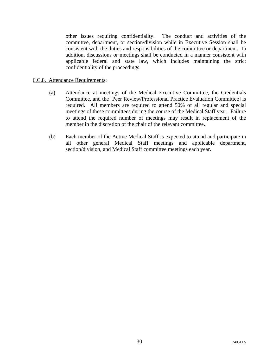other issues requiring confidentiality. The conduct and activities of the committee, department, or section/division while in Executive Session shall be consistent with the duties and responsibilities of the committee or department. In addition, discussions or meetings shall be conducted in a manner consistent with applicable federal and state law, which includes maintaining the strict confidentiality of the proceedings.

#### 6.C.8. Attendance Requirements:

- (a) Attendance at meetings of the Medical Executive Committee, the Credentials Committee, and the [Peer Review/Professional Practice Evaluation Committee] is required. All members are required to attend 50% of all regular and special meetings of these committees during the course of the Medical Staff year. Failure to attend the required number of meetings may result in replacement of the member in the discretion of the chair of the relevant committee.
- (b) Each member of the Active Medical Staff is expected to attend and participate in all other general Medical Staff meetings and applicable department, section/division, and Medical Staff committee meetings each year.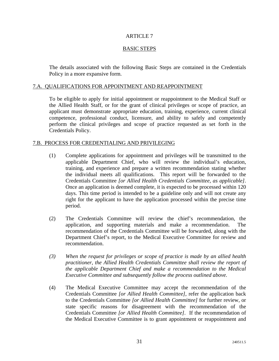# BASIC STEPS

The details associated with the following Basic Steps are contained in the Credentials Policy in a more expansive form.

# 7.A. QUALIFICATIONS FOR APPOINTMENT AND REAPPOINTMENT

To be eligible to apply for initial appointment or reappointment to the Medical Staff or the Allied Health Staff, or for the grant of clinical privileges or scope of practice, an applicant must demonstrate appropriate education, training, experience, current clinical competence, professional conduct, licensure, and ability to safely and competently perform the clinical privileges and scope of practice requested as set forth in the Credentials Policy.

#### 7.B. PROCESS FOR CREDENTIALING AND PRIVILEGING

- (1) Complete applications for appointment and privileges will be transmitted to the applicable Department Chief, who will review the individual's education, training, and experience and prepare a written recommendation stating whether the individual meets all qualifications. This report will be forwarded to the Credentials Committee *[or Allied Health Credentials Committee, as applicable]*. Once an application is deemed complete, it is expected to be processed within 120 days. This time period is intended to be a guideline only and will not create any right for the applicant to have the application processed within the precise time period.
- (2) The Credentials Committee will review the chief's recommendation, the application, and supporting materials and make a recommendation. The recommendation of the Credentials Committee will be forwarded, along with the Department Chief's report, to the Medical Executive Committee for review and recommendation.
- *(3) When the request for privileges or scope of practice is made by an allied health practitioner, the Allied Health Credentials Committee shall review the report of the applicable Department Chief and make a recommendation to the Medical Executive Committee and subsequently follow the process outlined above.*
- (4) The Medical Executive Committee may accept the recommendation of the Credentials Committee *[or Allied Health Committee]*, refer the application back to the Credentials Committee *[or Allied Health Committee]* for further review, or state specific reasons for disagreement with the recommendation of the Credentials Committee *[or Allied Health Committee]*. If the recommendation of the Medical Executive Committee is to grant appointment or reappointment and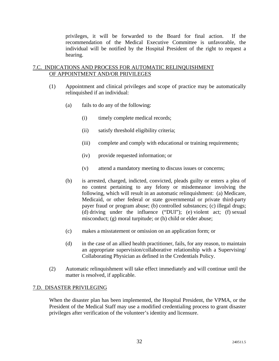privileges, it will be forwarded to the Board for final action. If the recommendation of the Medical Executive Committee is unfavorable, the individual will be notified by the Hospital President of the right to request a hearing.

# 7.C. INDICATIONS AND PROCESS FOR AUTOMATIC RELINQUISHMENT OF APPOINTMENT AND/OR PRIVILEGES

- (1) Appointment and clinical privileges and scope of practice may be automatically relinquished if an individual:
	- (a) fails to do any of the following:
		- (i) timely complete medical records;
		- (ii) satisfy threshold eligibility criteria;
		- (iii) complete and comply with educational or training requirements;
		- (iv) provide requested information; or
		- (v) attend a mandatory meeting to discuss issues or concerns;
	- (b) is arrested, charged, indicted, convicted, pleads guilty or enters a plea of no contest pertaining to any felony or misdemeanor involving the following, which will result in an automatic relinquishment: (a) Medicare, Medicaid, or other federal or state governmental or private third-party payer fraud or program abuse; (b) controlled substances; (c) illegal drugs; (d) driving under the influence ("DUI"); (e) violent act; (f) sexual misconduct; (g) moral turpitude; or (h) child or elder abuse;
	- (c) makes a misstatement or omission on an application form; or
	- (d) in the case of an allied health practitioner, fails, for any reason, to maintain an appropriate supervision/collaborative relationship with a Supervising/ Collaborating Physician as defined in the Credentials Policy.
- (2) Automatic relinquishment will take effect immediately and will continue until the matter is resolved, if applicable.

# 7.D. DISASTER PRIVILEGING

When the disaster plan has been implemented, the Hospital President, the VPMA, or the President of the Medical Staff may use a modified credentialing process to grant disaster privileges after verification of the volunteer's identity and licensure.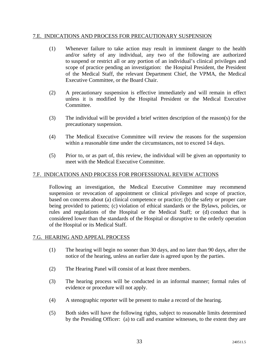#### 7.E. INDICATIONS AND PROCESS FOR PRECAUTIONARY SUSPENSION

- (1) Whenever failure to take action may result in imminent danger to the health and/or safety of any individual, any two of the following are authorized to suspend or restrict all or any portion of an individual's clinical privileges and scope of practice pending an investigation: the Hospital President, the President of the Medical Staff, the relevant Department Chief, the VPMA, the Medical Executive Committee, or the Board Chair.
- (2) A precautionary suspension is effective immediately and will remain in effect unless it is modified by the Hospital President or the Medical Executive Committee.
- (3) The individual will be provided a brief written description of the reason(s) for the precautionary suspension.
- (4) The Medical Executive Committee will review the reasons for the suspension within a reasonable time under the circumstances, not to exceed 14 days.
- (5) Prior to, or as part of, this review, the individual will be given an opportunity to meet with the Medical Executive Committee.

# 7.F. INDICATIONS AND PROCESS FOR PROFESSIONAL REVIEW ACTIONS

Following an investigation, the Medical Executive Committee may recommend suspension or revocation of appointment or clinical privileges and scope of practice, based on concerns about (a) clinical competence or practice; (b) the safety or proper care being provided to patients; (c) violation of ethical standards or the Bylaws, policies, or rules and regulations of the Hospital or the Medical Staff; or (d) conduct that is considered lower than the standards of the Hospital or disruptive to the orderly operation of the Hospital or its Medical Staff.

# 7.G. HEARING AND APPEAL PROCESS

- (1) The hearing will begin no sooner than 30 days, and no later than 90 days, after the notice of the hearing, unless an earlier date is agreed upon by the parties.
- (2) The Hearing Panel will consist of at least three members.
- (3) The hearing process will be conducted in an informal manner; formal rules of evidence or procedure will not apply.
- (4) A stenographic reporter will be present to make a record of the hearing.
- (5) Both sides will have the following rights, subject to reasonable limits determined by the Presiding Officer: (a) to call and examine witnesses, to the extent they are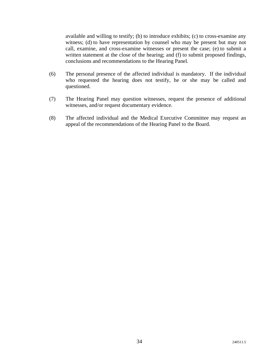available and willing to testify; (b) to introduce exhibits; (c) to cross-examine any witness; (d) to have representation by counsel who may be present but may not call, examine, and cross-examine witnesses or present the case; (e) to submit a written statement at the close of the hearing; and (f) to submit proposed findings, conclusions and recommendations to the Hearing Panel.

- (6) The personal presence of the affected individual is mandatory. If the individual who requested the hearing does not testify, he or she may be called and questioned.
- (7) The Hearing Panel may question witnesses, request the presence of additional witnesses, and/or request documentary evidence.
- (8) The affected individual and the Medical Executive Committee may request an appeal of the recommendations of the Hearing Panel to the Board.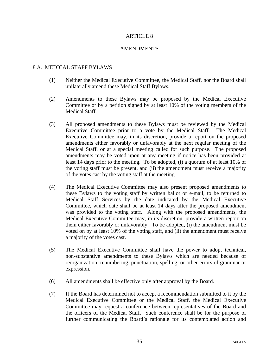# AMENDMENTS

# 8.A. MEDICAL STAFF BYLAWS

- (1) Neither the Medical Executive Committee, the Medical Staff, nor the Board shall unilaterally amend these Medical Staff Bylaws.
- (2) Amendments to these Bylaws may be proposed by the Medical Executive Committee or by a petition signed by at least 10% of the voting members of the Medical Staff.
- (3) All proposed amendments to these Bylaws must be reviewed by the Medical Executive Committee prior to a vote by the Medical Staff. The Medical Executive Committee may, in its discretion, provide a report on the proposed amendments either favorably or unfavorably at the next regular meeting of the Medical Staff, or at a special meeting called for such purpose. The proposed amendments may be voted upon at any meeting if notice has been provided at least 14 days prior to the meeting. To be adopted, (i) a quorum of at least 10% of the voting staff must be present, and (ii) the amendment must receive a majority of the votes cast by the voting staff at the meeting.
- (4) The Medical Executive Committee may also present proposed amendments to these Bylaws to the voting staff by written ballot or e-mail, to be returned to Medical Staff Services by the date indicated by the Medical Executive Committee, which date shall be at least 14 days after the proposed amendment was provided to the voting staff. Along with the proposed amendments, the Medical Executive Committee may, in its discretion, provide a written report on them either favorably or unfavorably. To be adopted, (i) the amendment must be voted on by at least 10% of the voting staff, and (ii) the amendment must receive a majority of the votes cast.
- (5) The Medical Executive Committee shall have the power to adopt technical, non-substantive amendments to these Bylaws which are needed because of reorganization, renumbering, punctuation, spelling, or other errors of grammar or expression.
- (6) All amendments shall be effective only after approval by the Board.
- (7) If the Board has determined not to accept a recommendation submitted to it by the Medical Executive Committee or the Medical Staff, the Medical Executive Committee may request a conference between representatives of the Board and the officers of the Medical Staff. Such conference shall be for the purpose of further communicating the Board's rationale for its contemplated action and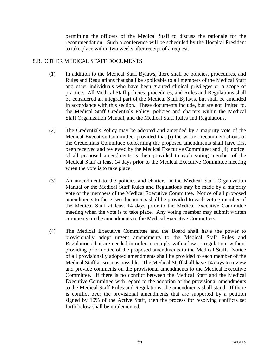permitting the officers of the Medical Staff to discuss the rationale for the recommendation. Such a conference will be scheduled by the Hospital President to take place within two weeks after receipt of a request.

# 8.B. OTHER MEDICAL STAFF DOCUMENTS

- (1) In addition to the Medical Staff Bylaws, there shall be policies, procedures, and Rules and Regulations that shall be applicable to all members of the Medical Staff and other individuals who have been granted clinical privileges or a scope of practice. All Medical Staff policies, procedures, and Rules and Regulations shall be considered an integral part of the Medical Staff Bylaws, but shall be amended in accordance with this section. These documents include, but are not limited to, the Medical Staff Credentials Policy, policies and charters within the Medical Staff Organization Manual, and the Medical Staff Rules and Regulations.
- (2) The Credentials Policy may be adopted and amended by a majority vote of the Medical Executive Committee, provided that (i) the written recommendations of the Credentials Committee concerning the proposed amendments shall have first been received and reviewed by the Medical Executive Committee; and (ii) notice of all proposed amendments is then provided to each voting member of the Medical Staff at least 14 days prior to the Medical Executive Committee meeting when the vote is to take place.
- (3) An amendment to the policies and charters in the Medical Staff Organization Manual or the Medical Staff Rules and Regulations may be made by a majority vote of the members of the Medical Executive Committee. Notice of all proposed amendments to these two documents shall be provided to each voting member of the Medical Staff at least 14 days prior to the Medical Executive Committee meeting when the vote is to take place. Any voting member may submit written comments on the amendments to the Medical Executive Committee.
- (4) The Medical Executive Committee and the Board shall have the power to provisionally adopt urgent amendments to the Medical Staff Rules and Regulations that are needed in order to comply with a law or regulation, without providing prior notice of the proposed amendments to the Medical Staff. Notice of all provisionally adopted amendments shall be provided to each member of the Medical Staff as soon as possible. The Medical Staff shall have 14 days to review and provide comments on the provisional amendments to the Medical Executive Committee. If there is no conflict between the Medical Staff and the Medical Executive Committee with regard to the adoption of the provisional amendments to the Medical Staff Rules and Regulations, the amendments shall stand. If there is conflict over the provisional amendments that are supported by a petition signed by 10% of the Active Staff, then the process for resolving conflicts set forth below shall be implemented.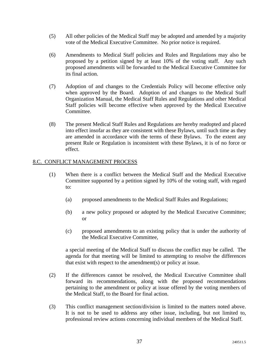- (5) All other policies of the Medical Staff may be adopted and amended by a majority vote of the Medical Executive Committee. No prior notice is required.
- (6) Amendments to Medical Staff policies and Rules and Regulations may also be proposed by a petition signed by at least 10% of the voting staff. Any such proposed amendments will be forwarded to the Medical Executive Committee for its final action.
- (7) Adoption of and changes to the Credentials Policy will become effective only when approved by the Board. Adoption of and changes to the Medical Staff Organization Manual, the Medical Staff Rules and Regulations and other Medical Staff policies will become effective when approved by the Medical Executive Committee.
- (8) The present Medical Staff Rules and Regulations are hereby readopted and placed into effect insofar as they are consistent with these Bylaws, until such time as they are amended in accordance with the terms of these Bylaws. To the extent any present Rule or Regulation is inconsistent with these Bylaws, it is of no force or effect.

# 8.C. CONFLICT MANAGEMENT PROCESS

- (1) When there is a conflict between the Medical Staff and the Medical Executive Committee supported by a petition signed by 10% of the voting staff, with regard to:
	- (a) proposed amendments to the Medical Staff Rules and Regulations;
	- (b) a new policy proposed or adopted by the Medical Executive Committee; or
	- (c) proposed amendments to an existing policy that is under the authority of the Medical Executive Committee,

a special meeting of the Medical Staff to discuss the conflict may be called. The agenda for that meeting will be limited to attempting to resolve the differences that exist with respect to the amendment(s) or policy at issue.

- (2) If the differences cannot be resolved, the Medical Executive Committee shall forward its recommendations, along with the proposed recommendations pertaining to the amendment or policy at issue offered by the voting members of the Medical Staff, to the Board for final action.
- (3) This conflict management section/division is limited to the matters noted above. It is not to be used to address any other issue, including, but not limited to, professional review actions concerning individual members of the Medical Staff.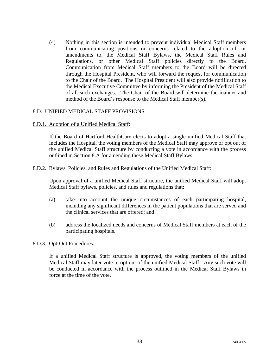(4) Nothing in this section is intended to prevent individual Medical Staff members from communicating positions or concerns related to the adoption of, or amendments to, the Medical Staff Bylaws, the Medical Staff Rules and Regulations, or other Medical Staff policies directly to the Board. Communication from Medical Staff members to the Board will be directed through the Hospital President, who will forward the request for communication to the Chair of the Board. The Hospital President will also provide notification to the Medical Executive Committee by informing the President of the Medical Staff of all such exchanges. The Chair of the Board will determine the manner and method of the Board's response to the Medical Staff member(s).

# 8.D. UNIFIED MEDICAL STAFF PROVISIONS

# 8.D.1. Adoption of a Unified Medical Staff:

If the Board of Hartford HealthCare elects to adopt a single unified Medical Staff that includes the Hospital, the voting members of the Medical Staff may approve or opt out of the unified Medical Staff structure by conducting a vote in accordance with the process outlined in Section 8.A for amending these Medical Staff Bylaws.

#### 8.D.2. Bylaws, Policies, and Rules and Regulations of the Unified Medical Staff:

Upon approval of a unified Medical Staff structure, the unified Medical Staff will adopt Medical Staff bylaws, policies, and rules and regulations that:

- (a) take into account the unique circumstances of each participating hospital, including any significant differences in the patient populations that are served and the clinical services that are offered; and
- (b) address the localized needs and concerns of Medical Staff members at each of the participating hospitals.

#### 8.D.3. Opt-Out Procedures:

If a unified Medical Staff structure is approved, the voting members of the unified Medical Staff may later vote to opt out of the unified Medical Staff. Any such vote will be conducted in accordance with the process outlined in the Medical Staff Bylaws in force at the time of the vote.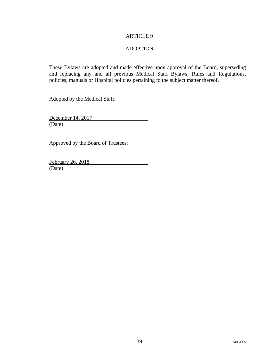# ADOPTION

These Bylaws are adopted and made effective upon approval of the Board, superseding and replacing any and all previous Medical Staff Bylaws, Rules and Regulations, policies, manuals or Hospital policies pertaining to the subject matter thereof.

Adopted by the Medical Staff:

December 14, 2017 (Date)

Approved by the Board of Trustees:

February 26, 2018 (Date)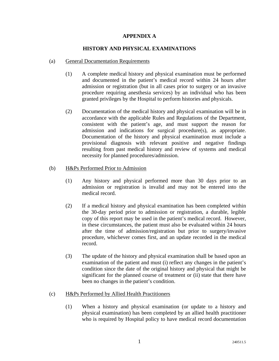# **APPENDIX A**

# **HISTORY AND PHYSICAL EXAMINATIONS**

#### (a) General Documentation Requirements

- (1) A complete medical history and physical examination must be performed and documented in the patient's medical record within 24 hours after admission or registration (but in all cases prior to surgery or an invasive procedure requiring anesthesia services) by an individual who has been granted privileges by the Hospital to perform histories and physicals.
- (2) Documentation of the medical history and physical examination will be in accordance with the applicable Rules and Regulations of the Department, consistent with the patient's age, and must support the reason for admission and indications for surgical procedure(s), as appropriate. Documentation of the history and physical examination must include a provisional diagnosis with relevant positive and negative findings resulting from past medical history and review of systems and medical necessity for planned procedures/admission.

# (b) H&Ps Performed Prior to Admission

- (1) Any history and physical performed more than 30 days prior to an admission or registration is invalid and may not be entered into the medical record.
- (2) If a medical history and physical examination has been completed within the 30-day period prior to admission or registration, a durable, legible copy of this report may be used in the patient's medical record. However, in these circumstances, the patient must also be evaluated within 24 hours after the time of admission/registration but prior to surgery/invasive procedure, whichever comes first, and an update recorded in the medical record.
- (3) The update of the history and physical examination shall be based upon an examination of the patient and must (i) reflect any changes in the patient's condition since the date of the original history and physical that might be significant for the planned course of treatment or (ii) state that there have been no changes in the patient's condition.

# (c) H&Ps Performed by Allied Health Practitioners

(1) When a history and physical examination (or update to a history and physical examination) has been completed by an allied health practitioner who is required by Hospital policy to have medical record documentation